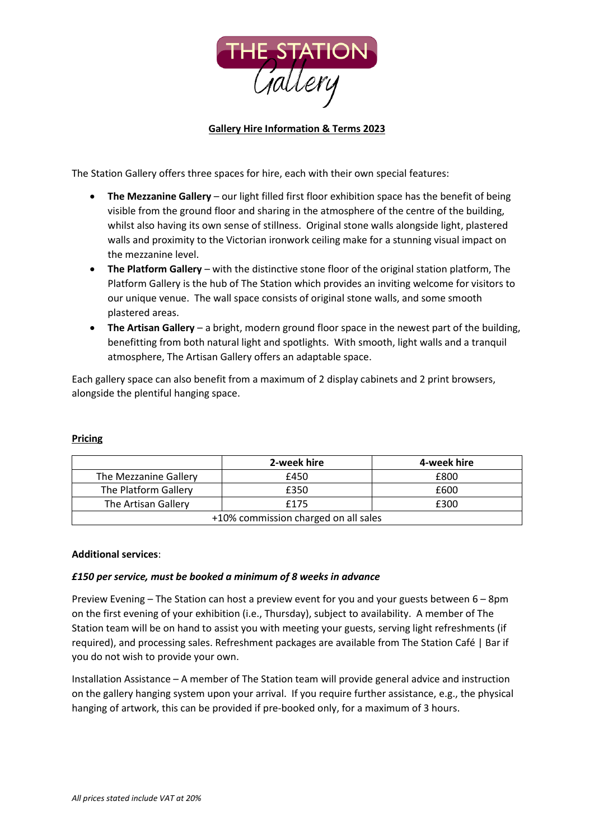

## **Gallery Hire Information & Terms 2023**

The Station Gallery offers three spaces for hire, each with their own special features:

- **The Mezzanine Gallery** our light filled first floor exhibition space has the benefit of being visible from the ground floor and sharing in the atmosphere of the centre of the building, whilst also having its own sense of stillness. Original stone walls alongside light, plastered walls and proximity to the Victorian ironwork ceiling make for a stunning visual impact on the mezzanine level.
- **The Platform Gallery** with the distinctive stone floor of the original station platform, The Platform Gallery is the hub of The Station which provides an inviting welcome for visitors to our unique venue. The wall space consists of original stone walls, and some smooth plastered areas.
- **The Artisan Gallery** a bright, modern ground floor space in the newest part of the building, benefitting from both natural light and spotlights. With smooth, light walls and a tranquil atmosphere, The Artisan Gallery offers an adaptable space.

Each gallery space can also benefit from a maximum of 2 display cabinets and 2 print browsers, alongside the plentiful hanging space.

|                                      | 2-week hire | 4-week hire |
|--------------------------------------|-------------|-------------|
| The Mezzanine Gallery                | £450        | £800        |
| The Platform Gallery                 | £350        | £600        |
| The Artisan Gallery                  | £175        | £300        |
| +10% commission charged on all sales |             |             |

#### **Pricing**

#### **Additional services**:

#### *£150 per service, must be booked a minimum of 8 weeks in advance*

Preview Evening – The Station can host a preview event for you and your guests between 6 – 8pm on the first evening of your exhibition (i.e., Thursday), subject to availability. A member of The Station team will be on hand to assist you with meeting your guests, serving light refreshments (if required), and processing sales. Refreshment packages are available from The Station Café | Bar if you do not wish to provide your own.

Installation Assistance – A member of The Station team will provide general advice and instruction on the gallery hanging system upon your arrival. If you require further assistance, e.g., the physical hanging of artwork, this can be provided if pre-booked only, for a maximum of 3 hours.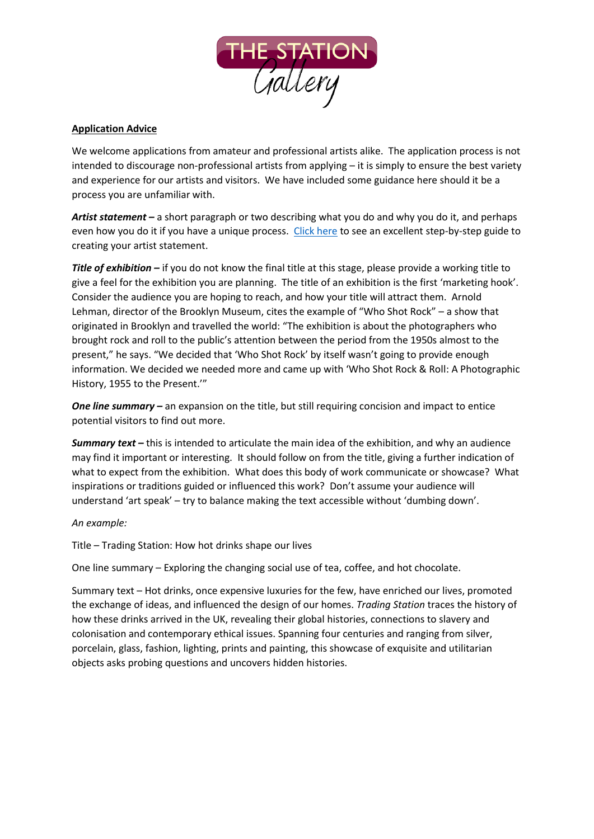

# **Application Advice**

We welcome applications from amateur and professional artists alike. The application process is not intended to discourage non-professional artists from applying – it is simply to ensure the best variety and experience for our artists and visitors. We have included some guidance here should it be a process you are unfamiliar with.

*Artist statement –* a short paragraph or two describing what you do and why you do it, and perhaps even how you do it if you have a unique process. [Click here](https://thecreativeindependent.com/guides/how-to-write-an-artist-statement/) to see an excellent step-by-step guide to creating your artist statement.

*Title of exhibition –* if you do not know the final title at this stage, please provide a working title to give a feel for the exhibition you are planning. The title of an exhibition is the first 'marketing hook'. Consider the audience you are hoping to reach, and how your title will attract them. Arnold Lehman, director of the Brooklyn Museum, cites the example of "Who Shot Rock" – a show that originated in Brooklyn and travelled the world: "The exhibition is about the photographers who brought rock and roll to the public's attention between the period from the 1950s almost to the present," he says. "We decided that 'Who Shot Rock' by itself wasn't going to provide enough information. We decided we needed more and came up with 'Who Shot Rock & Roll: A Photographic History, 1955 to the Present.'"

*One line summary –* an expansion on the title, but still requiring concision and impact to entice potential visitors to find out more.

**Summary text** – this is intended to articulate the main idea of the exhibition, and why an audience may find it important or interesting. It should follow on from the title, giving a further indication of what to expect from the exhibition. What does this body of work communicate or showcase? What inspirations or traditions guided or influenced this work? Don't assume your audience will understand 'art speak' – try to balance making the text accessible without 'dumbing down'.

*An example:*

Title – Trading Station: How hot drinks shape our lives

One line summary – Exploring the changing social use of tea, coffee, and hot chocolate.

Summary text – Hot drinks, once expensive luxuries for the few, have enriched our lives, promoted the exchange of ideas, and influenced the design of our homes. *Trading Station* traces the history of how these drinks arrived in the UK, revealing their global histories, connections to slavery and colonisation and contemporary ethical issues. Spanning four centuries and ranging from silver, porcelain, glass, fashion, lighting, prints and painting, this showcase of exquisite and utilitarian objects asks probing questions and uncovers hidden histories.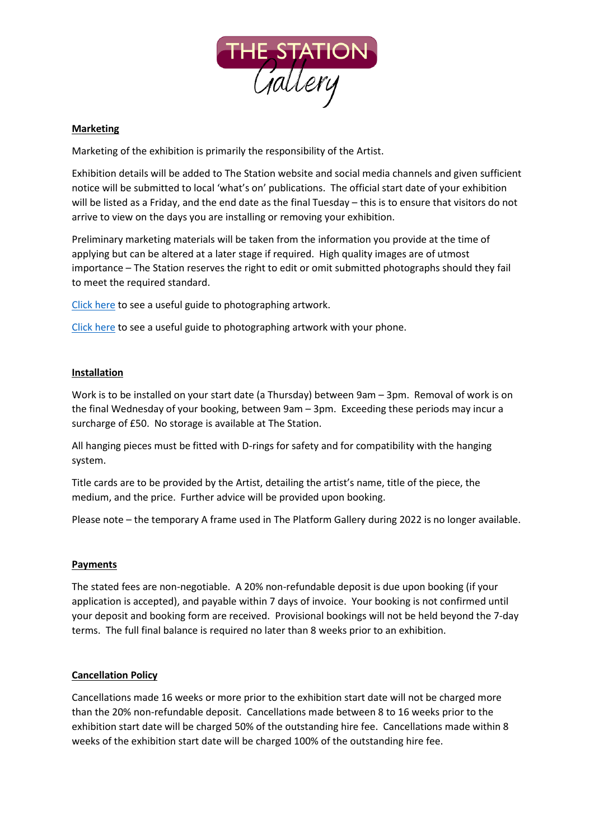

## **Marketing**

Marketing of the exhibition is primarily the responsibility of the Artist.

Exhibition details will be added to The Station website and social media channels and given sufficient notice will be submitted to local 'what's on' publications. The official start date of your exhibition will be listed as a Friday, and the end date as the final Tuesday – this is to ensure that visitors do not arrive to view on the days you are installing or removing your exhibition.

Preliminary marketing materials will be taken from the information you provide at the time of applying but can be altered at a later stage if required. High quality images are of utmost importance – The Station reserves the right to edit or omit submitted photographs should they fail to meet the required standard.

[Click here](https://www.artworkarchive.com/blog/4-steps-to-photographing-your-art-like-a-professional) to see a useful guide to photographing artwork.

[Click here](https://artypod.com/how-to-photograph-art-with-iphone/) to see a useful guide to photographing artwork with your phone.

### **Installation**

Work is to be installed on your start date (a Thursday) between 9am – 3pm. Removal of work is on the final Wednesday of your booking, between 9am – 3pm. Exceeding these periods may incur a surcharge of £50. No storage is available at The Station.

All hanging pieces must be fitted with D-rings for safety and for compatibility with the hanging system.

Title cards are to be provided by the Artist, detailing the artist's name, title of the piece, the medium, and the price. Further advice will be provided upon booking.

Please note – the temporary A frame used in The Platform Gallery during 2022 is no longer available.

#### **Payments**

The stated fees are non-negotiable. A 20% non-refundable deposit is due upon booking (if your application is accepted), and payable within 7 days of invoice. Your booking is not confirmed until your deposit and booking form are received. Provisional bookings will not be held beyond the 7-day terms. The full final balance is required no later than 8 weeks prior to an exhibition.

#### **Cancellation Policy**

Cancellations made 16 weeks or more prior to the exhibition start date will not be charged more than the 20% non-refundable deposit. Cancellations made between 8 to 16 weeks prior to the exhibition start date will be charged 50% of the outstanding hire fee. Cancellations made within 8 weeks of the exhibition start date will be charged 100% of the outstanding hire fee.